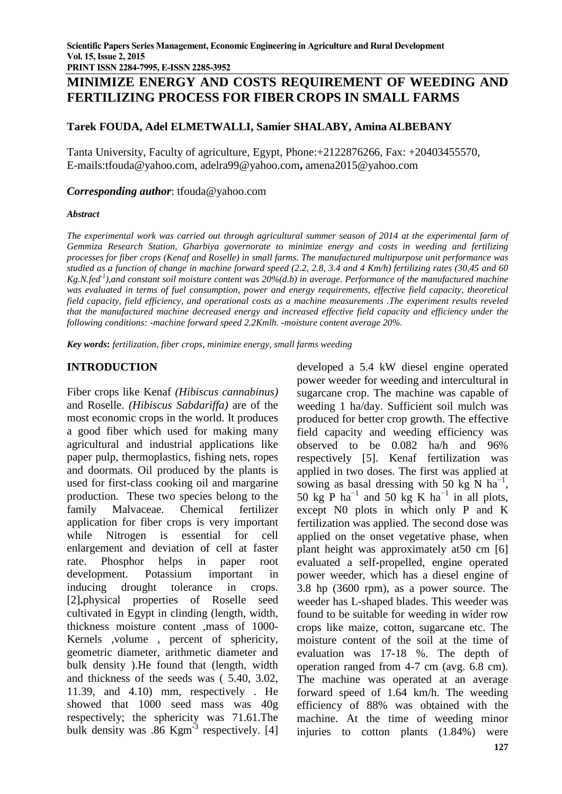# **MINIMIZE ENERGY AND COSTS REQUIREMENT OF WEEDING AND FERTILIZING PROCESS FOR FIBER CROPS IN SMALL FARMS**

## **Tarek FOUDA, Adel ELMETWALLI, Samier SHALABY, Amina ALBEBANY**

Tanta University, Faculty of agriculture, Egypt, Phone:+2122876266, Fax: +20403455570, E-mails:tfouda@yahoo.com, adelra99@yahoo.com**,** amena2015@yahoo.com

#### *Corresponding author*: tfouda@yahoo.com

#### *Abstract*

The experimental work was carried out through agricultural summer season of 2014 at the experimental farm of *Gemmiza Research Station, Gharbiya governorate to minimize energy and costs in weeding and fertilizing processes for fiber crops (Kenaf and Roselle) in small farms. The manufactured multipurpose unit performance was* studied as a function of change in machine forward speed (2.2, 2.8, 3.4 and 4 Km/h) fertilizing rates (30,45 and 60 *Kg.N.fed-1 ),and constant soil moisture content was 20%(d.b) in average. Performance of the manufactured machine was evaluated in terms of fuel consumption, power and energy requirements, effective field capacity, theoretical field capacity, field efficiency, and operational costs as a machine measurements .The experiment results reveled that the manufactured machine decreased energy and increased effective field capacity and efficiency under the following conditions: -machine forward speed 2.2Kmlh. -moisture content average 20%.*

*Key words***:** *fertilization, fiber crops*, *minimize energy, small farms weeding*

### **INTRODUCTION**

Fiber crops like Kenaf *(Hibiscus cannabinus)* and Roselle. *(Hibiscus Sabdariffa)* are of the most economic crops in the world. It produces a good fiber which used for making many agricultural and industrial applications like paper pulp, thermoplastics, fishing nets, ropes and doormats. Oil produced by the plants is used for first-class cooking oil and margarine production. These two species belong to the family Malvaceae. Chemical fertilizer application for fiber crops is very important while Nitrogen is essential for cell enlargement and deviation of cell at faster rate. Phosphor helps in paper root development. Potassium important in inducing drought tolerance in crops. [2]**.**physical properties of Roselle seed cultivated in Egypt in clinding (length, width, thickness moisture content ,mass of 1000- Kernels ,volume , percent of sphericity, geometric diameter, arithmetic diameter and bulk density ).He found that (length, width and thickness of the seeds was ( 5.40, 3.02, 11.39, and 4.10) mm, respectively . He showed that 1000 seed mass was 40g respectively; the sphericity was 71.61.The bulk density was .86 Kgm<sup>-3</sup> respectively. [4]

developed a 5.4 kW diesel engine operated power weeder for weeding and intercultural in sugarcane crop. The machine was capable of weeding 1 ha/day. Sufficient soil mulch was produced for better crop growth. The effective field capacity and weeding efficiency was observed to be 0.082 ha/h and 96% respectively [5]. Kenaf fertilization was applied in two doses. The first was applied at sowing as basal dressing with 50 kg N ha<sup>-1</sup>, 50 kg P ha<sup>-1</sup> and 50 kg K ha<sup>-1</sup> in all plots, except N0 plots in which only P and K fertilization was applied. The second dose was applied on the onset vegetative phase, when plant height was approximately at50 cm [6] evaluated a self-propelled, engine operated power weeder, which has a diesel engine of 3.8 hp (3600 rpm), as a power source. The weeder has L-shaped blades. This weeder was found to be suitable for weeding in wider row crops like maize, cotton, sugarcane etc. The moisture content of the soil at the time of evaluation was 17-18 %. The depth of operation ranged from 4-7 cm (avg. 6.8 cm). The machine was operated at an average forward speed of 1.64 km/h. The weeding efficiency of 88% was obtained with the machine. At the time of weeding minor injuries to cotton plants (1.84%) were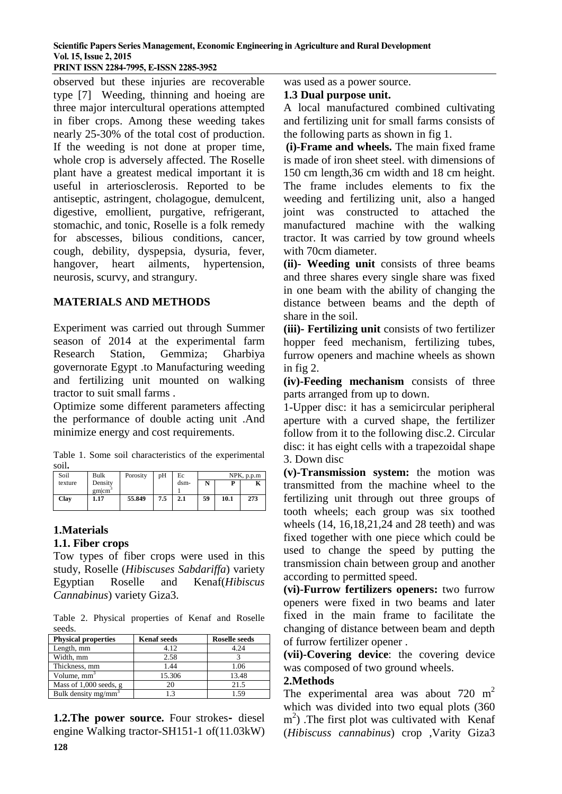#### **Scientific Papers Series Management, Economic Engineering in Agriculture and Rural Development Vol. 15, Issue 2, 2015 PRINT ISSN 2284-7995, E-ISSN 2285-3952**

observed but these injuries are recoverable type [7] Weeding, thinning and hoeing are three major intercultural operations attempted in fiber crops. Among these weeding takes nearly 25-30% of the total cost of production. If the weeding is not done at proper time, whole crop is adversely affected. The Roselle plant have a greatest medical important it is useful in arteriosclerosis. Reported to be antiseptic, astringent, cholagogue, demulcent, digestive, emollient, purgative, refrigerant, stomachic, and tonic, Roselle is a folk remedy for abscesses, bilious conditions, cancer, cough, debility, dyspepsia, dysuria, fever, hangover, heart ailments, hypertension, neurosis, scurvy, and strangury.

## **MATERIALS AND METHODS**

Experiment was carried out through Summer season of 2014 at the experimental farm Research Station, Gemmiza; Gharbiya governorate Egypt .to Manufacturing weeding and fertilizing unit mounted on walking tractor to suit small farms .

Optimize some different parameters affecting the performance of double acting unit .And minimize energy and cost requirements.

Table 1. Some soil characteristics of the experimental soil**.** 

| Soil    | Bulk                          | Porosity | pH  | Ec   | NPK, p.p.m |      |     |
|---------|-------------------------------|----------|-----|------|------------|------|-----|
| texture | Density                       |          |     | dsm- | N          | D    |     |
|         | $g$ m $\rm \,cm$ <sup>2</sup> |          |     |      |            |      |     |
| Clay    | 1.17                          | 55.849   | 7.5 | 2.1  | 59         | 10.1 | 273 |
|         |                               |          |     |      |            |      |     |

## **1.Materials**

### **1.1. Fiber crops**

Tow types of fiber crops were used in this study, Roselle (*Hibiscuses Sabdariffa*) variety Egyptian Roselle and Kenaf(*Hibiscus Cannabinus*) variety Giza3.

Table 2. Physical properties of Kenaf and Roselle seeds.

| <b>Physical properties</b> | <b>Kenaf</b> seeds | <b>Roselle seeds</b> |  |
|----------------------------|--------------------|----------------------|--|
| Length, mm                 | 4.12               | 4.24                 |  |
| Width, mm                  | 2.58               |                      |  |
| Thickness, mm              | 1.44               | 1.06                 |  |
| Volume, $mm3$              | 15.306             | 13.48                |  |
| Mass of $1,000$ seeds, g   |                    | 21.5                 |  |
| Bulk density $mg/mm^3$     |                    |                      |  |

**1.2.The power source.** Four strokes**-** diesel engine Walking tractor*-*SH151-1 of(11.03kW)

was used as a power source.

#### **1.3 Dual purpose unit.**

A local manufactured combined cultivating and fertilizing unit for small farms consists of the following parts as shown in fig 1.

**(i)-Frame and wheels.** The main fixed frame is made of iron sheet steel. with dimensions of 150 cm length,36 cm width and 18 cm height. The frame includes elements to fix the weeding and fertilizing unit, also a hanged joint was constructed to attached the manufactured machine with the walking tractor. It was carried by tow ground wheels with 70cm diameter.

**(ii)- Weeding unit** consists of three beams and three shares every single share was fixed in one beam with the ability of changing the distance between beams and the depth of share in the soil.

**(iii)- Fertilizing unit** consists of two fertilizer hopper feed mechanism, fertilizing tubes, furrow openers and machine wheels as shown in fig 2.

**(iv)-Feeding mechanism** consists of three parts arranged from up to down.

1-Upper disc: it has a semicircular peripheral aperture with a curved shape, the fertilizer follow from it to the following disc.2. Circular disc: it has eight cells with a trapezoidal shape 3. Down disc

**(v)-Transmission system:** the motion was transmitted from the machine wheel to the fertilizing unit through out three groups of tooth wheels; each group was six toothed wheels (14, 16,18,21,24 and 28 teeth) and was fixed together with one piece which could be used to change the speed by putting the transmission chain between group and another according to permitted speed.

**(vi)-Furrow fertilizers openers:** two furrow openers were fixed in two beams and later fixed in the main frame to facilitate the changing of distance between beam and depth of furrow fertilizer opener .

**(vii)-Covering device**: the covering device was composed of two ground wheels.

### **2.Methods**

The experimental area was about  $720 \text{ m}^2$ which was divided into two equal plots (360 m<sup>2</sup>) .The first plot was cultivated with Kenaf (*Hibiscuss cannabinus*) crop ,Varity Giza3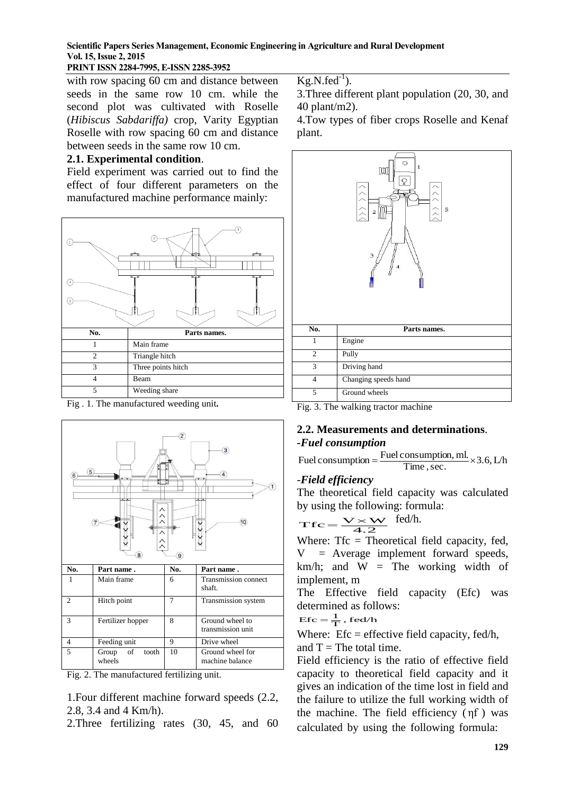### **Scientific Papers Series Management, Economic Engineering in Agriculture and Rural Development Vol. 15, Issue 2, 2015**

### **PRINT ISSN 2284-7995, E-ISSN 2285-3952**

with row spacing 60 cm and distance between seeds in the same row 10 cm. while the second plot was cultivated with Roselle (*Hibiscus Sabdariffa)* crop, Varity Egyptian Roselle with row spacing 60 cm and distance between seeds in the same row 10 cm.

#### **2.1. Experimental condition**.

Field experiment was carried out to find the effect of four different parameters on the manufactured machine performance mainly:







Fig. 2. The manufactured fertilizing unit.

1.Four different machine forward speeds (2.2, 2.8, 3.4 and 4 Km/h).

2.Three fertilizing rates (30, 45, and 60

 $Kg.N.fed^{-1}$ ).

3.Three different plant population (20, 30, and 40 plant/m2).

4.Tow types of fiber crops Roselle and Kenaf plant.



Fig. 3. The walking tractor machine

## **2.2. Measurements and determinations**. *-Fuel consumption*

Fuel consumption =  $\frac{\text{Fuel consumption, ml.}}{\text{Time, sec.}} \times 3.6$ , L/h

#### -*Field efficiency*

The theoretical field capacity was calculated by using the following: formula:

$$
Tfc = \frac{V \times W}{4.2}
$$
 fed/h.

Where: Tfc = Theoretical field capacity, fed,  $=$  Average implement forward speeds, km/h; and  $W =$  The working width of implement, m

The Effective field capacity (Efc) was determined as follows:<br>  $\text{Efc} = \frac{1}{T}$ , fed/h

$$
Efc = \frac{1}{T}, fed/h
$$

Where:  $Efc =$  effective field capacity, fed/h, and  $T =$ The total time.

Field efficiency is the ratio of effective field capacity to theoretical field capacity and it gives an indication of the time lost in field and the failure to utilize the full working width of the machine. The field efficiency ( ηf ) was calculated by using the following formula: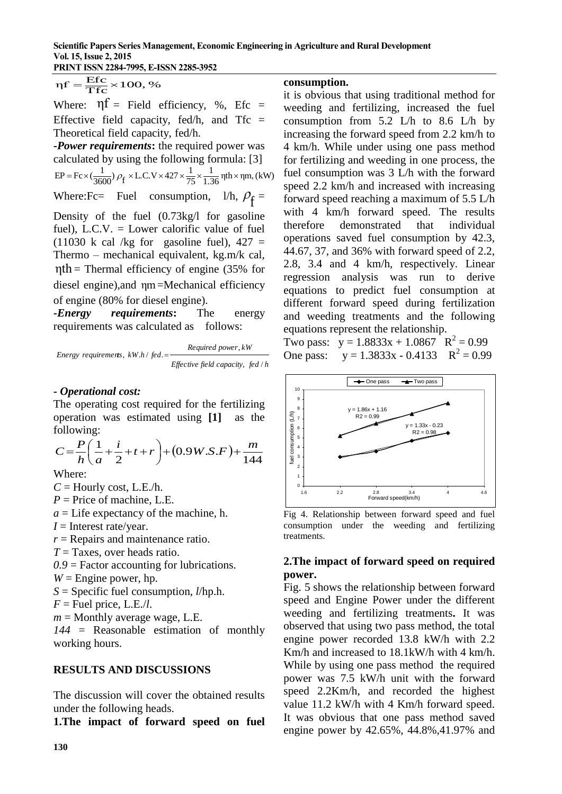$$
\eta f = \frac{Efc}{Tfc} \times 100, \%
$$

Where:  $\eta f =$  Field efficiency, %, Efc = Effective field capacity, fed/h, and  $Tfc =$ Theoretical field capacity, fed/h.

**-***Power requirements***:** the required power was calculated by using the following formula: [3]  $\frac{1}{1.36}$  ηth × ηm, (kW)  $EP = Fc \times (\frac{1}{3600}) \rho_f \times L.C.V \times 427 \times \frac{1}{75} \times \frac{1}{1.36} \eta \text{th} \times$ 

Where:Fc= Fuel consumption,  $1/h$ ,  $\rho_f$  =

rif =  $\frac{\text{Efc}}{\text{Trc}} \times 100$ , %<br>
Where:  $\eta f =$  Field expacit<br>
Effective field capacit<br>
Theoretical field capacit<br>
Theoretical field capacit<br>
Theoretical field capacit<br>
Theoretical field capacit<br>
Forwer requirements:<br>
calc Density of the fuel (0.73kg/l for gasoline fuel), L.C.V. = Lower calorific value of fuel  $(11030 \text{ k cal/kg}$  for gasoline fuel),  $427 =$ Thermo – mechanical equivalent, kg.m/k cal,  $\eta$ th = Thermal efficiency of engine (35% for diesel engine), and  $ηm$  =Mechanical efficiency of engine (80% for diesel engine).

**-***Energy requirements***:** The energy requirements was calculated as follows:

Energy requirements, 
$$
kW.h / \text{fed.} = \frac{\text{Required power}, \, kW}{\text{Effective field capacity}, \, \text{fed } / h}
$$

#### **-** *Operational cost:*

The operating cost required for the fertilizing operation was estimated using **[1]** as the following:

$$
C = \frac{P}{h} \left( \frac{1}{a} + \frac{i}{2} + t + r \right) + (0.9W.S.F) + \frac{m}{144}
$$

Where:

- $C =$  Hourly cost, L.E./h.
- $P =$ Price of machine, L.E.
- *a* = Life expectancy of the machine, h.
- *I* = Interest rate/year.

*r* = Repairs and maintenance ratio.

*T* = Taxes, over heads ratio.

*0.9* = Factor accounting for lubrications.

- $W =$  Engine power, hp.
- *S* = Specific fuel consumption, *l*/hp.h.
- $F =$ Fuel price, L.E./*l*.
- *m* = Monthly average wage, L.E.

*144* = Reasonable estimation of monthly working hours.

### **RESULTS AND DISCUSSIONS**

The discussion will cover the obtained results under the following heads.

**1.The impact of forward speed on fuel**

#### **consumption.**

it is obvious that using traditional method for weeding and fertilizing, increased the fuel consumption from 5.2 L/h to 8.6 L/h by increasing the forward speed from 2.2 km/h to 4 km/h. While under using one pass method for fertilizing and weeding in one process, the fuel consumption was 3 L/h with the forward speed 2.2 km/h and increased with increasing forward speed reaching a maximum of 5.5 L/h with 4 km/h forward speed. The results therefore demonstrated that individual operations saved fuel consumption by 42.3, 44.67, 37, and 36% with forward speed of 2.2, 2.8, 3.4 and 4 km/h, respectively. Linear regression analysis was run to derive equations to predict fuel consumption at different forward speed during fertilization and weeding treatments and the following equations represent the relationship.

Two pass:  $y = 1.8833x + 1.0867$   $R^2 = 0.99$ One pass:  $y = 1.3833x - 0.4133$   $R^2 = 0.99$ 



Fig 4. Relationship between forward speed and fuel consumption under the weeding and fertilizing treatments.

## **2.The impact of forward speed on required power.**

Fig. 5 shows the relationship between forward speed and Engine Power under the different weeding and fertilizing treatments**.** It was observed that using two pass method, the total engine power recorded 13.8 kW/h with 2.2 Km/h and increased to 18.1kW/h with 4 km/h. While by using one pass method the required power was 7.5 kW/h unit with the forward speed 2.2Km/h, and recorded the highest value 11.2 kW/h with 4 Km/h forward speed. It was obvious that one pass method saved engine power by 42.65%, 44.8%,41.97% and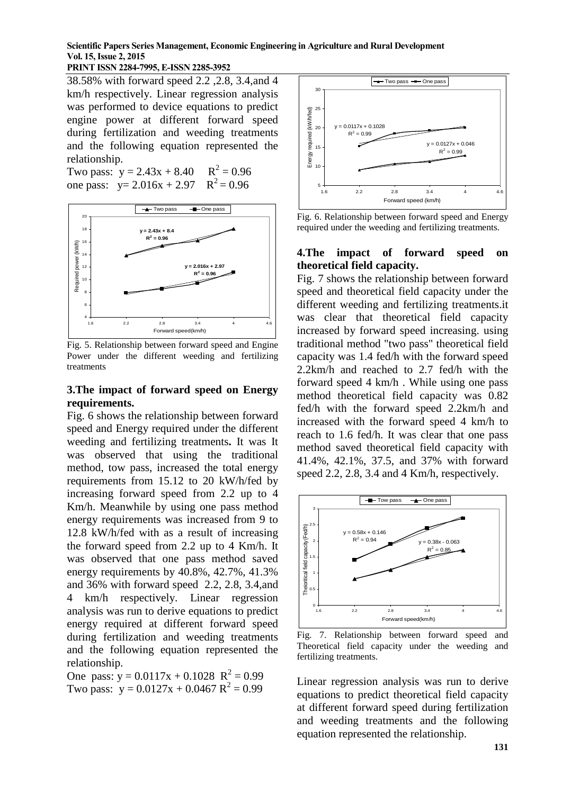#### **Scientific Papers Series Management, Economic Engineering in Agriculture and Rural Development Vol. 15, Issue 2, 2015**

#### **PRINT ISSN 2284-7995, E-ISSN 2285-3952**

38.58% with forward speed 2.2 ,2.8, 3.4,and 4 km/h respectively. Linear regression analysis was performed to device equations to predict engine power at different forward speed during fertilization and weeding treatments and the following equation represented the relationship.

Two pass:  $y = 2.43x + 8.40$  $x^2 = 0.96$ one pass:  $y= 2.016x + 2.97$  $x^2 = 0.96$ 



Fig. 5. Relationship between forward speed and Engine Power under the different weeding and fertilizing treatments

#### **3.The impact of forward speed on Energy requirements.**

Fig. 6 shows the relationship between forward speed and Energy required under the different weeding and fertilizing treatments**.** It was It was observed that using the traditional method, tow pass, increased the total energy requirements from 15.12 to 20 kW/h/fed by increasing forward speed from 2.2 up to 4 Km/h. Meanwhile by using one pass method energy requirements was increased from 9 to 12.8 kW/h/fed with as a result of increasing the forward speed from 2.2 up to 4 Km/h. It was observed that one pass method saved energy requirements by 40.8%, 42.7%, 41.3% and 36% with forward speed 2.2, 2.8, 3.4,and 4 km/h respectively. Linear regression analysis was run to derive equations to predict energy required at different forward speed during fertilization and weeding treatments and the following equation represented the relationship.

One pass:  $y = 0.0117x + 0.1028$   $R^2 = 0.99$ Two pass:  $y = 0.0127x + 0.0467 R^2 = 0.99$ 



Fig. 6. Relationship between forward speed and Energy required under the weeding and fertilizing treatments.

#### **4.The impact of forward speed on theoretical field capacity.**

Fig. 7 shows the relationship between forward speed and theoretical field capacity under the different weeding and fertilizing treatments.it was clear that theoretical field capacity increased by forward speed increasing. using traditional method "two pass" theoretical field capacity was 1.4 fed/h with the forward speed 2.2km/h and reached to 2.7 fed/h with the forward speed 4 km/h . While using one pass method theoretical field capacity was 0.82 fed/h with the forward speed 2.2km/h and increased with the forward speed 4 km/h to reach to 1.6 fed/h. It was clear that one pass method saved theoretical field capacity with 41.4%, 42.1%, 37.5, and 37% with forward speed 2.2, 2.8, 3.4 and 4 Km/h, respectively.



Fig. 7. Relationship between forward speed and Theoretical field capacity under the weeding and fertilizing treatments.

Linear regression analysis was run to derive equations to predict theoretical field capacity at different forward speed during fertilization and weeding treatments and the following equation represented the relationship.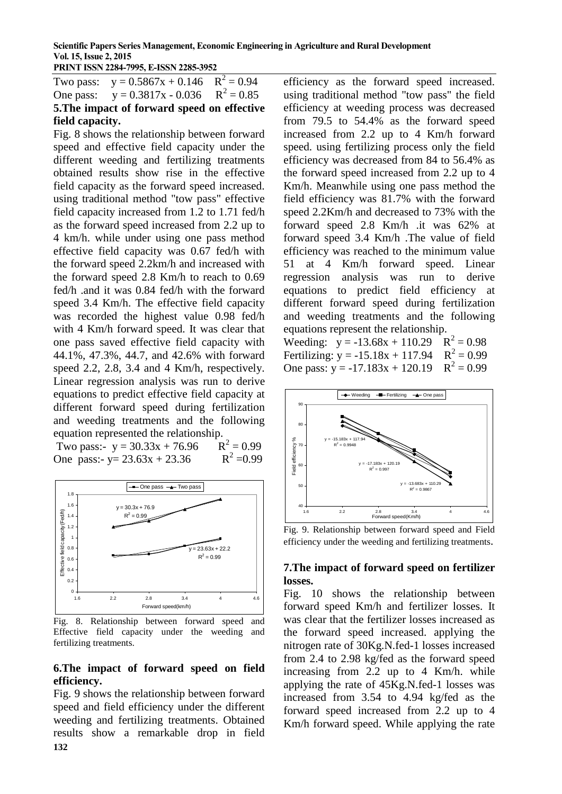Two pass:  $y = 0.5867x + 0.146$  $2^2 = 0.94$ One pass:  $y = 0.3817x - 0.036$  $2^2 = 0.85$ **5.The impact of forward speed on effective field capacity.**

Fig. 8 shows the relationship between forward speed and effective field capacity under the different weeding and fertilizing treatments obtained results show rise in the effective field capacity as the forward speed increased. using traditional method "tow pass" effective field capacity increased from 1.2 to 1.71 fed/h as the forward speed increased from 2.2 up to 4 km/h. while under using one pass method effective field capacity was 0.67 fed/h with the forward speed 2.2km/h and increased with the forward speed 2.8 Km/h to reach to 0.69 fed/h .and it was 0.84 fed/h with the forward speed 3.4 Km/h. The effective field capacity was recorded the highest value 0.98 fed/h with 4 Km/h forward speed. It was clear that one pass saved effective field capacity with 44.1%, 47.3%, 44.7, and 42.6% with forward speed 2.2, 2.8, 3.4 and 4 Km/h, respectively. Linear regression analysis was run to derive equations to predict effective field capacity at different forward speed during fertilization and weeding treatments and the following equation represented the relationship.

Two pass:-  $y = 30.33x + 76.96$  $2^2 = 0.99$ One pass:-  $y = 23.63x + 23.36$  $2^2 = 0.99$ 



Fig. 8. Relationship between forward speed and Effective field capacity under the weeding and fertilizing treatments.

### **6.The impact of forward speed on field efficiency.**

**132** Fig. 9 shows the relationship between forward speed and field efficiency under the different weeding and fertilizing treatments. Obtained results show a remarkable drop in field

efficiency as the forward speed increased. using traditional method "tow pass" the field efficiency at weeding process was decreased from 79.5 to 54.4% as the forward speed increased from 2.2 up to 4 Km/h forward speed. using fertilizing process only the field efficiency was decreased from 84 to 56.4% as the forward speed increased from 2.2 up to 4 Km/h. Meanwhile using one pass method the field efficiency was 81.7% with the forward speed 2.2Km/h and decreased to 73% with the forward speed 2.8 Km/h .it was 62% at forward speed 3.4 Km/h .The value of field efficiency was reached to the minimum value 51 at 4 Km/h forward speed. Linear regression analysis was run to derive equations to predict field efficiency at different forward speed during fertilization and weeding treatments and the following equations represent the relationship.

Weeding:  $y = -13.68x + 110.29$   $R^2 = 0.98$ Fertilizing:  $y = -15.18x + 117.94$   $R^2 = 0.99$ One pass:  $y = -17.183x + 120.19$  $2^2 = 0.99$ 



Fig. 9. Relationship between forward speed and Field efficiency under the weeding and fertilizing treatments.

## **7.The impact of forward speed on fertilizer losses.**

Fig. 10 shows the relationship between forward speed Km/h and fertilizer losses. It was clear that the fertilizer losses increased as the forward speed increased. applying the nitrogen rate of 30Kg.N.fed-1 losses increased from 2.4 to 2.98 kg/fed as the forward speed increasing from 2.2 up to 4 Km/h. while applying the rate of 45Kg.N.fed-1 losses was increased from 3.54 to 4.94 kg/fed as the forward speed increased from 2.2 up to 4 Km/h forward speed. While applying the rate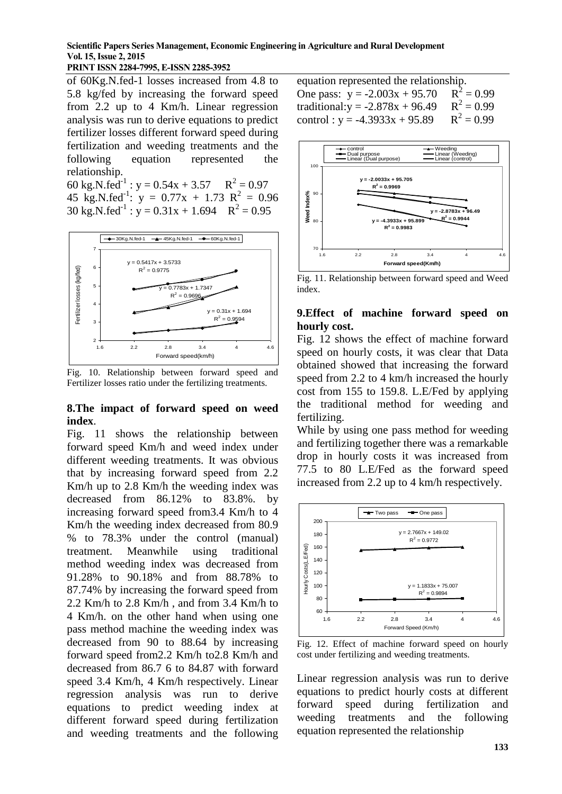**Scientific Papers Series Management, Economic Engineering in Agriculture and Rural Development Vol. 15, Issue 2, 2015**

of 60Kg.N.fed-1 losses increased from 4.8 to 5.8 kg/fed by increasing the forward speed from 2.2 up to 4 Km/h. Linear regression analysis was run to derive equations to predict fertilizer losses different forward speed during fertilization and weeding treatments and the following equation represented the relationship.

60 kg.N.fed<sup>-1</sup>:  $y = 0.54x + 3.57$   $R^2 = 0.97$ 45 kg.N.fed<sup>-1</sup>:  $y = 0.77x + 1.73$   $R^2 = 0.96$ 30 kg.N.fed<sup>-1</sup>:  $y = 0.31x + 1.694$   $R^2 = 0.95$ 



Fig. 10. Relationship between forward speed and Fertilizer losses ratio under the fertilizing treatments.

#### **8.The impact of forward speed on weed index**.

Fig. 11 shows the relationship between forward speed Km/h and weed index under different weeding treatments. It was obvious that by increasing forward speed from 2.2 Km/h up to 2.8 Km/h the weeding index was decreased from 86.12% to 83.8%. by increasing forward speed from3.4 Km/h to 4 Km/h the weeding index decreased from 80.9 % to 78.3% under the control (manual) treatment. Meanwhile using traditional method weeding index was decreased from 91.28% to 90.18% and from 88.78% to 87.74% by increasing the forward speed from 2.2 Km/h to 2.8 Km/h , and from 3.4 Km/h to 4 Km/h. on the other hand when using one pass method machine the weeding index was decreased from 90 to 88.64 by increasing forward speed from2.2 Km/h to2.8 Km/h and decreased from 86.7 6 to 84.87 with forward speed 3.4 Km/h, 4 Km/h respectively. Linear regression analysis was run to derive equations to predict weeding index at different forward speed during fertilization and weeding treatments and the following

equation represented the relationship. One pass:  $y = -2.003x + 95.70$  $2^2 = 0.99$ traditional: $y = -2.878x + 96.49$  $x^2 = 0.99$ control :  $y = -4.3933x + 95.89$  $x^2 = 0.99$ 



Fig. 11. Relationship between forward speed and Weed index.

#### **9.Effect of machine forward speed on hourly cost.**

Fig. 12 shows the effect of machine forward speed on hourly costs, it was clear that Data obtained showed that increasing the forward speed from 2.2 to 4 km/h increased the hourly cost from 155 to 159.8. L.E/Fed by applying the traditional method for weeding and fertilizing.

While by using one pass method for weeding and fertilizing together there was a remarkable drop in hourly costs it was increased from 77.5 to 80 L.E/Fed as the forward speed increased from 2.2 up to 4 km/h respectively.



Fig. 12. Effect of machine forward speed on hourly cost under fertilizing and weeding treatments.

Linear regression analysis was run to derive equations to predict hourly costs at different forward speed during fertilization and weeding treatments and the following equation represented the relationship